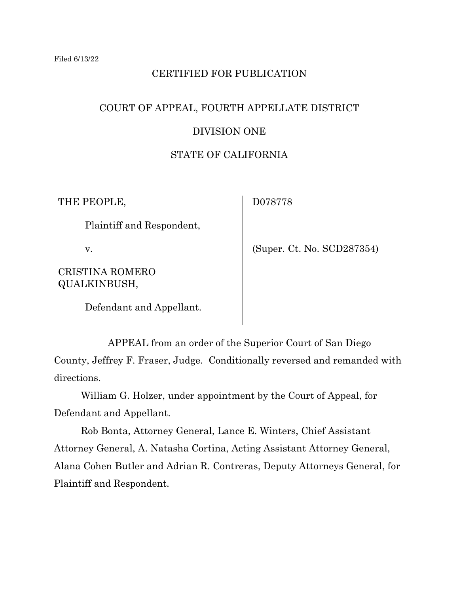# CERTIFIED FOR PUBLICATION

# COURT OF APPEAL, FOURTH APPELLATE DISTRICT

# DIVISION ONE

# STATE OF CALIFORNIA

THE PEOPLE,

D078778

Plaintiff and Respondent,

v.

CRISTINA ROMERO QUALKINBUSH,

(Super. Ct. No. SCD287354)

Defendant and Appellant.

APPEAL from an order of the Superior Court of San Diego County, Jeffrey F. Fraser, Judge. Conditionally reversed and remanded with directions.

William G. Holzer, under appointment by the Court of Appeal, for Defendant and Appellant.

Rob Bonta, Attorney General, Lance E. Winters, Chief Assistant Attorney General, A. Natasha Cortina, Acting Assistant Attorney General, Alana Cohen Butler and Adrian R. Contreras, Deputy Attorneys General, for Plaintiff and Respondent.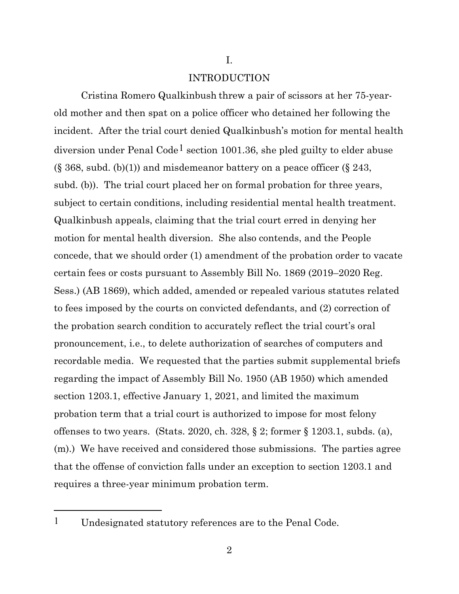I.

#### INTRODUCTION

Cristina Romero Qualkinbush threw a pair of scissors at her 75-yearold mother and then spat on a police officer who detained her following the incident. After the trial court denied Qualkinbush's motion for mental health diversion under Penal Code<sup>[1](#page-1-0)</sup> section 1001.36, she pled guilty to elder abuse  $(\S 368, \text{subd. (b)}(1))$  and misdemeanor battery on a peace officer  $(\S 243, \S 368)$ subd. (b)). The trial court placed her on formal probation for three years, subject to certain conditions, including residential mental health treatment. Qualkinbush appeals, claiming that the trial court erred in denying her motion for mental health diversion. She also contends, and the People concede, that we should order (1) amendment of the probation order to vacate certain fees or costs pursuant to Assembly Bill No. 1869 (2019–2020 Reg. Sess.) (AB 1869), which added, amended or repealed various statutes related to fees imposed by the courts on convicted defendants, and (2) correction of the probation search condition to accurately reflect the trial court's oral pronouncement, i.e., to delete authorization of searches of computers and recordable media. We requested that the parties submit supplemental briefs regarding the impact of Assembly Bill No. 1950 (AB 1950) which amended section 1203.1, effective January 1, 2021, and limited the maximum probation term that a trial court is authorized to impose for most felony offenses to two years. (Stats. 2020, ch. 328, § 2; former § 1203.1, subds. (a), (m).) We have received and considered those submissions. The parties agree that the offense of conviction falls under an exception to section 1203.1 and requires a three-year minimum probation term.

<span id="page-1-0"></span><sup>1</sup> Undesignated statutory references are to the Penal Code.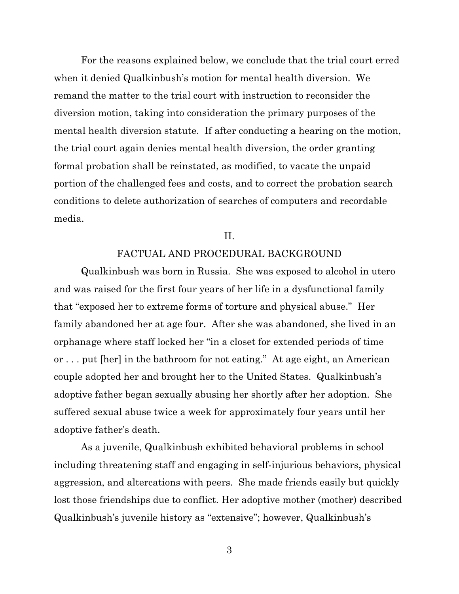For the reasons explained below, we conclude that the trial court erred when it denied Qualkinbush's motion for mental health diversion. We remand the matter to the trial court with instruction to reconsider the diversion motion, taking into consideration the primary purposes of the mental health diversion statute. If after conducting a hearing on the motion, the trial court again denies mental health diversion, the order granting formal probation shall be reinstated, as modified, to vacate the unpaid portion of the challenged fees and costs, and to correct the probation search conditions to delete authorization of searches of computers and recordable media.

### II.

## FACTUAL AND PROCEDURAL BACKGROUND

Qualkinbush was born in Russia. She was exposed to alcohol in utero and was raised for the first four years of her life in a dysfunctional family that "exposed her to extreme forms of torture and physical abuse." Her family abandoned her at age four. After she was abandoned, she lived in an orphanage where staff locked her "in a closet for extended periods of time or . . . put [her] in the bathroom for not eating." At age eight, an American couple adopted her and brought her to the United States. Qualkinbush's adoptive father began sexually abusing her shortly after her adoption. She suffered sexual abuse twice a week for approximately four years until her adoptive father's death.

As a juvenile, Qualkinbush exhibited behavioral problems in school including threatening staff and engaging in self-injurious behaviors, physical aggression, and altercations with peers. She made friends easily but quickly lost those friendships due to conflict. Her adoptive mother (mother) described Qualkinbush's juvenile history as "extensive"; however, Qualkinbush's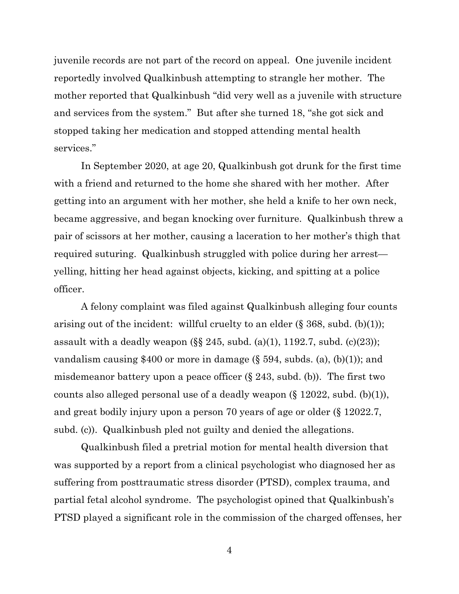juvenile records are not part of the record on appeal. One juvenile incident reportedly involved Qualkinbush attempting to strangle her mother. The mother reported that Qualkinbush "did very well as a juvenile with structure and services from the system." But after she turned 18, "she got sick and stopped taking her medication and stopped attending mental health services."

In September 2020, at age 20, Qualkinbush got drunk for the first time with a friend and returned to the home she shared with her mother. After getting into an argument with her mother, she held a knife to her own neck, became aggressive, and began knocking over furniture. Qualkinbush threw a pair of scissors at her mother, causing a laceration to her mother's thigh that required suturing. Qualkinbush struggled with police during her arrest yelling, hitting her head against objects, kicking, and spitting at a police officer.

A felony complaint was filed against Qualkinbush alleging four counts arising out of the incident: willful cruelty to an elder  $(\S 368, \text{subd. (b)(1)});$ assault with a deadly weapon  $(\S \S 245, \text{subd. (a)}(1), 1192.7, \text{subd. (c)}(23));$ vandalism causing \$400 or more in damage  $(\S 594, \text{subds.} (a), (b)(1))$ ; and misdemeanor battery upon a peace officer  $(\S 243, \text{subd. (b)})$ . The first two counts also alleged personal use of a deadly weapon (§ 12022, subd. (b)(1)), and great bodily injury upon a person 70 years of age or older (§ 12022.7, subd. (c)). Qualkinbush pled not guilty and denied the allegations.

Qualkinbush filed a pretrial motion for mental health diversion that was supported by a report from a clinical psychologist who diagnosed her as suffering from posttraumatic stress disorder (PTSD), complex trauma, and partial fetal alcohol syndrome. The psychologist opined that Qualkinbush's PTSD played a significant role in the commission of the charged offenses, her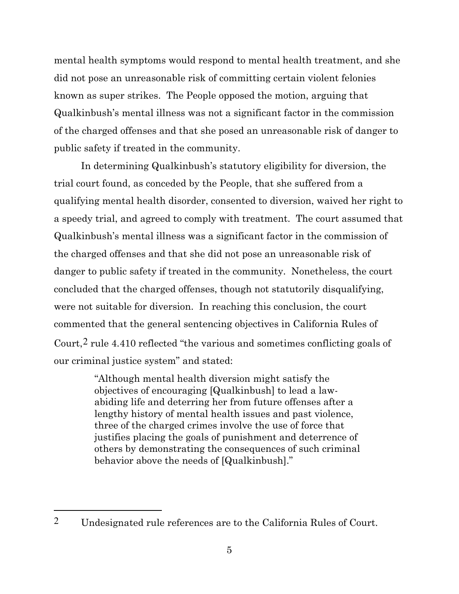mental health symptoms would respond to mental health treatment, and she did not pose an unreasonable risk of committing certain violent felonies known as super strikes. The People opposed the motion, arguing that Qualkinbush's mental illness was not a significant factor in the commission of the charged offenses and that she posed an unreasonable risk of danger to public safety if treated in the community.

In determining Qualkinbush's statutory eligibility for diversion, the trial court found, as conceded by the People, that she suffered from a qualifying mental health disorder, consented to diversion, waived her right to a speedy trial, and agreed to comply with treatment. The court assumed that Qualkinbush's mental illness was a significant factor in the commission of the charged offenses and that she did not pose an unreasonable risk of danger to public safety if treated in the community. Nonetheless, the court concluded that the charged offenses, though not statutorily disqualifying, were not suitable for diversion. In reaching this conclusion, the court commented that the general sentencing objectives in California Rules of Court,[2](#page-4-0) rule 4.410 reflected "the various and sometimes conflicting goals of our criminal justice system" and stated:

> "Although mental health diversion might satisfy the objectives of encouraging [Qualkinbush] to lead a lawabiding life and deterring her from future offenses after a lengthy history of mental health issues and past violence, three of the charged crimes involve the use of force that justifies placing the goals of punishment and deterrence of others by demonstrating the consequences of such criminal behavior above the needs of [Qualkinbush]."

<span id="page-4-0"></span><sup>2</sup> Undesignated rule references are to the California Rules of Court.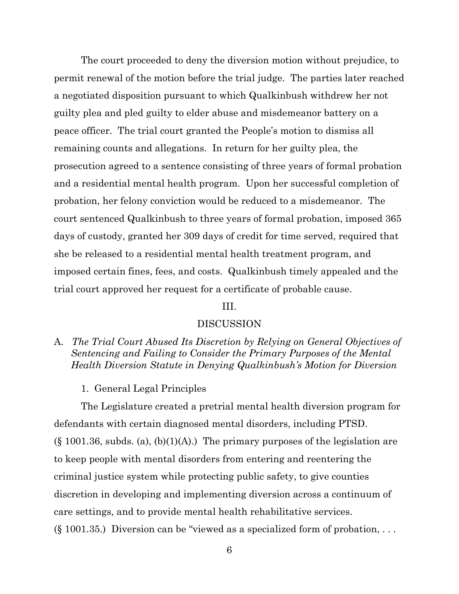The court proceeded to deny the diversion motion without prejudice, to permit renewal of the motion before the trial judge. The parties later reached a negotiated disposition pursuant to which Qualkinbush withdrew her not guilty plea and pled guilty to elder abuse and misdemeanor battery on a peace officer. The trial court granted the People's motion to dismiss all remaining counts and allegations. In return for her guilty plea, the prosecution agreed to a sentence consisting of three years of formal probation and a residential mental health program. Upon her successful completion of probation, her felony conviction would be reduced to a misdemeanor. The court sentenced Qualkinbush to three years of formal probation, imposed 365 days of custody, granted her 309 days of credit for time served, required that she be released to a residential mental health treatment program, and imposed certain fines, fees, and costs. Qualkinbush timely appealed and the trial court approved her request for a certificate of probable cause.

# III.

#### DISCUSSION

A. *The Trial Court Abused Its Discretion by Relying on General Objectives of Sentencing and Failing to Consider the Primary Purposes of the Mental Health Diversion Statute in Denying Qualkinbush's Motion for Diversion*

1. General Legal Principles

The Legislature created a pretrial mental health diversion program for defendants with certain diagnosed mental disorders, including PTSD.  $(\S 1001.36,$  subds. (a), (b)(1)(A).) The primary purposes of the legislation are to keep people with mental disorders from entering and reentering the criminal justice system while protecting public safety, to give counties discretion in developing and implementing diversion across a continuum of care settings, and to provide mental health rehabilitative services.  $(\S 1001.35.)$  Diversion can be "viewed as a specialized form of probation, ...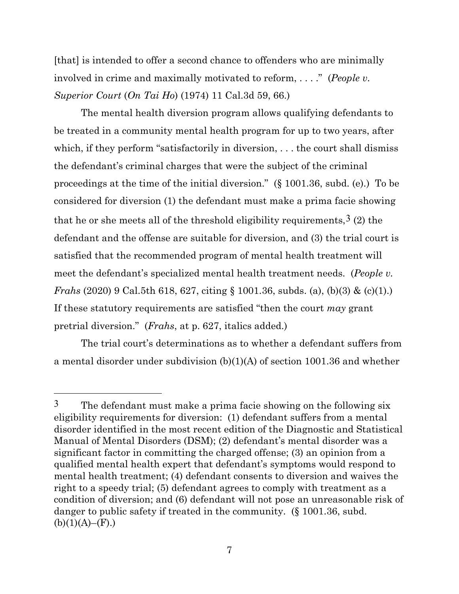[that] is intended to offer a second chance to offenders who are minimally involved in crime and maximally motivated to reform, . . . ." (*People v. Superior Court* (*On Tai Ho*) (1974) 11 Cal.3d 59, 66.)

The mental health diversion program allows qualifying defendants to be treated in a community mental health program for up to two years, after which, if they perform "satisfactorily in diversion, ... the court shall dismiss the defendant's criminal charges that were the subject of the criminal proceedings at the time of the initial diversion." (§ 1001.36, subd. (e).) To be considered for diversion (1) the defendant must make a prima facie showing that he or she meets all of the threshold eligibility requirements,  $3(2)$  $3(2)$  the defendant and the offense are suitable for diversion, and (3) the trial court is satisfied that the recommended program of mental health treatment will meet the defendant's specialized mental health treatment needs. (*People v. Frahs* (2020) 9 Cal.5th 618, 627, citing § 1001.36, subds. (a), (b)(3) & (c)(1).) If these statutory requirements are satisfied "then the court *may* grant pretrial diversion." (*Frahs*, at p. 627, italics added.)

The trial court's determinations as to whether a defendant suffers from a mental disorder under subdivision (b)(1)(A) of section 1001.36 and whether

<span id="page-6-0"></span><sup>&</sup>lt;sup>3</sup> The defendant must make a prima facie showing on the following six eligibility requirements for diversion: (1) defendant suffers from a mental disorder identified in the most recent edition of the Diagnostic and Statistical Manual of Mental Disorders (DSM); (2) defendant's mental disorder was a significant factor in committing the charged offense; (3) an opinion from a qualified mental health expert that defendant's symptoms would respond to mental health treatment; (4) defendant consents to diversion and waives the right to a speedy trial; (5) defendant agrees to comply with treatment as a condition of diversion; and (6) defendant will not pose an unreasonable risk of danger to public safety if treated in the community. (§ 1001.36, subd.  $(b)(1)(A)–(F).)$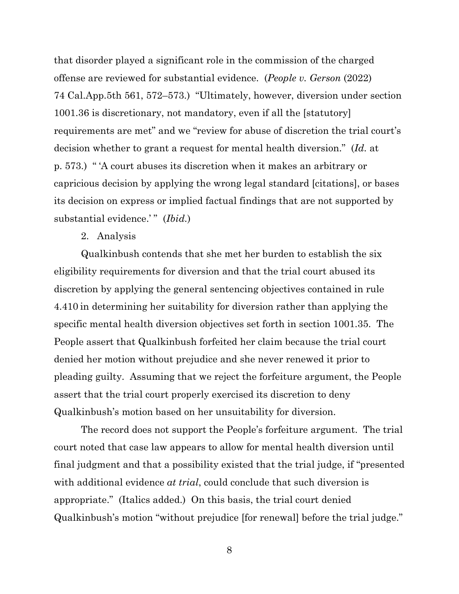that disorder played a significant role in the commission of the charged offense are reviewed for substantial evidence. (*People v. Gerson* (2022) 74 Cal.App.5th 561, 572–573.) "Ultimately, however, diversion under section 1001.36 is discretionary, not mandatory, even if all the [statutory] requirements are met" and we "review for abuse of discretion the trial court's decision whether to grant a request for mental health diversion." (*Id.* at p. 573.) " 'A court abuses its discretion when it makes an arbitrary or capricious decision by applying the wrong legal standard [citations], or bases its decision on express or implied factual findings that are not supported by substantial evidence.'" (*Ibid.*)

### 2. Analysis

Qualkinbush contends that she met her burden to establish the six eligibility requirements for diversion and that the trial court abused its discretion by applying the general sentencing objectives contained in rule 4.410 in determining her suitability for diversion rather than applying the specific mental health diversion objectives set forth in section 1001.35. The People assert that Qualkinbush forfeited her claim because the trial court denied her motion without prejudice and she never renewed it prior to pleading guilty. Assuming that we reject the forfeiture argument, the People assert that the trial court properly exercised its discretion to deny Qualkinbush's motion based on her unsuitability for diversion.

The record does not support the People's forfeiture argument. The trial court noted that case law appears to allow for mental health diversion until final judgment and that a possibility existed that the trial judge, if "presented with additional evidence *at trial*, could conclude that such diversion is appropriate." (Italics added.) On this basis, the trial court denied Qualkinbush's motion "without prejudice [for renewal] before the trial judge."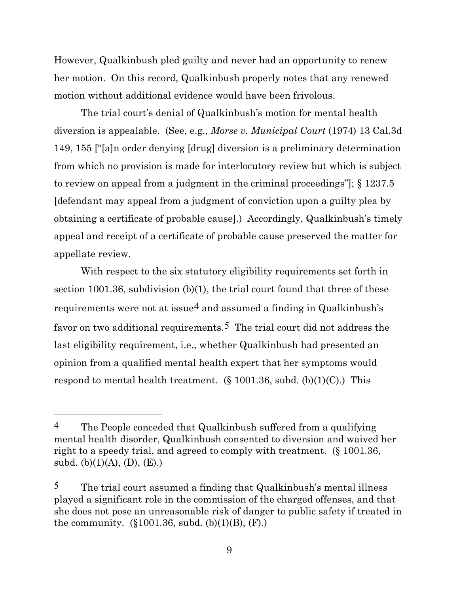However, Qualkinbush pled guilty and never had an opportunity to renew her motion. On this record, Qualkinbush properly notes that any renewed motion without additional evidence would have been frivolous.

The trial court's denial of Qualkinbush's motion for mental health diversion is appealable. (See, e.g., *Morse v. Municipal Court* (1974) 13 Cal.3d 149, 155 ["[a]n order denying [drug] diversion is a preliminary determination from which no provision is made for interlocutory review but which is subject to review on appeal from a judgment in the criminal proceedings"]; § 1237.5 [defendant may appeal from a judgment of conviction upon a guilty plea by obtaining a certificate of probable cause].) Accordingly, Qualkinbush's timely appeal and receipt of a certificate of probable cause preserved the matter for appellate review.

With respect to the six statutory eligibility requirements set forth in section 1001.36, subdivision (b)(1), the trial court found that three of these requirements were not at issue<sup>[4](#page-8-0)</sup> and assumed a finding in Qualkinbush's favor on two additional requirements.[5](#page-8-1) The trial court did not address the last eligibility requirement, i.e., whether Qualkinbush had presented an opinion from a qualified mental health expert that her symptoms would respond to mental health treatment.  $(\S 1001.36, \text{subd. (b)}(1)(C))$ . This

<span id="page-8-0"></span><sup>4</sup> The People conceded that Qualkinbush suffered from a qualifying mental health disorder, Qualkinbush consented to diversion and waived her right to a speedy trial, and agreed to comply with treatment. (§ 1001.36, subd. (b)(1)(A), (D), (E).)

<span id="page-8-1"></span> $5$  The trial court assumed a finding that Qualkinbush's mental illness played a significant role in the commission of the charged offenses, and that she does not pose an unreasonable risk of danger to public safety if treated in the community.  $(\S 1001.36, \text{ subd. } (b)(1)(B), (F))$ .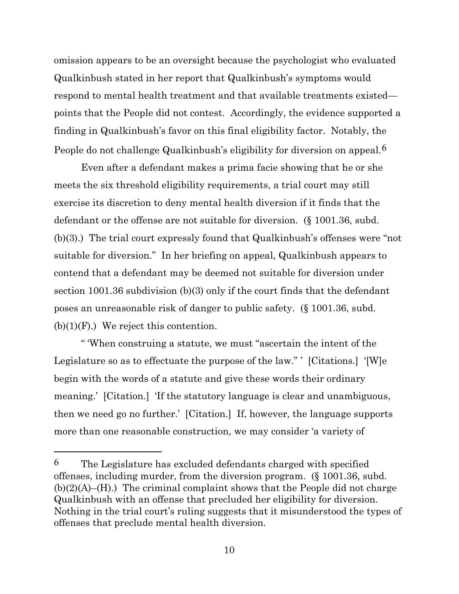omission appears to be an oversight because the psychologist who evaluated Qualkinbush stated in her report that Qualkinbush's symptoms would respond to mental health treatment and that available treatments existed points that the People did not contest. Accordingly, the evidence supported a finding in Qualkinbush's favor on this final eligibility factor. Notably, the People do not challenge Qualkinbush's eligibility for diversion on appeal.[6](#page-9-0)

Even after a defendant makes a prima facie showing that he or she meets the six threshold eligibility requirements, a trial court may still exercise its discretion to deny mental health diversion if it finds that the defendant or the offense are not suitable for diversion. (§ 1001.36, subd. (b)(3).) The trial court expressly found that Qualkinbush's offenses were "not suitable for diversion." In her briefing on appeal, Qualkinbush appears to contend that a defendant may be deemed not suitable for diversion under section 1001.36 subdivision (b)(3) only if the court finds that the defendant poses an unreasonable risk of danger to public safety. (§ 1001.36, subd.  $(b)(1)(F)$ .) We reject this contention.

" 'When construing a statute, we must "ascertain the intent of the Legislature so as to effectuate the purpose of the law." ' [Citations.] '[W]e begin with the words of a statute and give these words their ordinary meaning.' [Citation.] 'If the statutory language is clear and unambiguous, then we need go no further.' [Citation.] If, however, the language supports more than one reasonable construction, we may consider 'a variety of

<span id="page-9-0"></span> $6$  The Legislature has excluded defendants charged with specified offenses, including murder, from the diversion program. (§ 1001.36, subd.  $(b)(2)(A)$ –(H).) The criminal complaint shows that the People did not charge Qualkinbush with an offense that precluded her eligibility for diversion. Nothing in the trial court's ruling suggests that it misunderstood the types of offenses that preclude mental health diversion.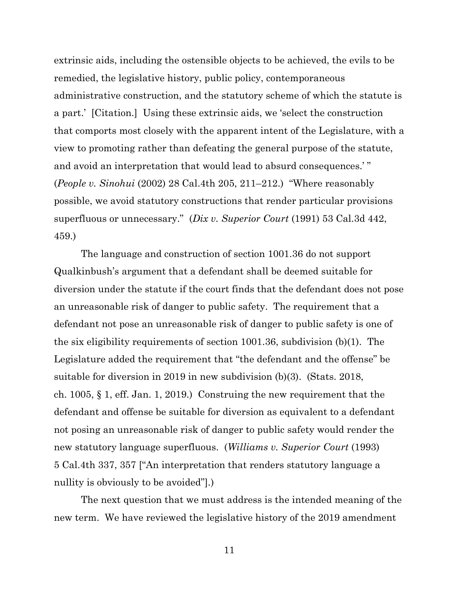extrinsic aids, including the ostensible objects to be achieved, the evils to be remedied, the legislative history, public policy, contemporaneous administrative construction, and the statutory scheme of which the statute is a part.' [Citation.] Using these extrinsic aids, we 'select the construction that comports most closely with the apparent intent of the Legislature, with a view to promoting rather than defeating the general purpose of the statute, and avoid an interpretation that would lead to absurd consequences.' " (*People v. Sinohui* (2002) 28 Cal.4th 205, 211–212.) "Where reasonably possible, we avoid statutory constructions that render particular provisions superfluous or unnecessary." (*Dix v. Superior Court* (1991) 53 Cal.3d 442, 459.)

The language and construction of section 1001.36 do not support Qualkinbush's argument that a defendant shall be deemed suitable for diversion under the statute if the court finds that the defendant does not pose an unreasonable risk of danger to public safety. The requirement that a defendant not pose an unreasonable risk of danger to public safety is one of the six eligibility requirements of section 1001.36, subdivision (b)(1). The Legislature added the requirement that "the defendant and the offense" be suitable for diversion in 2019 in new subdivision (b)(3). (Stats. 2018, ch. 1005, § 1, eff. Jan. 1, 2019.) Construing the new requirement that the defendant and offense be suitable for diversion as equivalent to a defendant not posing an unreasonable risk of danger to public safety would render the new statutory language superfluous. (*Williams v. Superior Court* (1993) 5 Cal.4th 337, 357 ["An interpretation that renders statutory language a nullity is obviously to be avoided".

The next question that we must address is the intended meaning of the new term. We have reviewed the legislative history of the 2019 amendment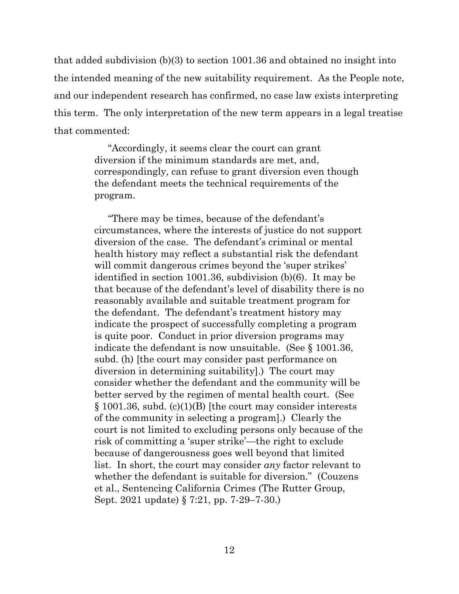that added subdivision (b)(3) to section 1001.36 and obtained no insight into the intended meaning of the new suitability requirement. As the People note, and our independent research has confirmed, no case law exists interpreting this term. The only interpretation of the new term appears in a legal treatise that commented:

> "Accordingly, it seems clear the court can grant diversion if the minimum standards are met, and, correspondingly, can refuse to grant diversion even though the defendant meets the technical requirements of the program.

"There may be times, because of the defendant's circumstances, where the interests of justice do not support diversion of the case. The defendant's criminal or mental health history may reflect a substantial risk the defendant will commit dangerous crimes beyond the 'super strikes' identified in section 1001.36, subdivision (b)(6). It may be that because of the defendant's level of disability there is no reasonably available and suitable treatment program for the defendant. The defendant's treatment history may indicate the prospect of successfully completing a program is quite poor. Conduct in prior diversion programs may indicate the defendant is now unsuitable. (See § 1001.36, subd. (h) [the court may consider past performance on diversion in determining suitability].) The court may consider whether the defendant and the community will be better served by the regimen of mental health court. (See § 1001.36, subd. (c)(1)(B) [the court may consider interests of the community in selecting a program].) Clearly the court is not limited to excluding persons only because of the risk of committing a 'super strike'—the right to exclude because of dangerousness goes well beyond that limited list. In short, the court may consider *any* factor relevant to whether the defendant is suitable for diversion." (Couzens et al., Sentencing California Crimes (The Rutter Group, Sept. 2021 update) § 7:21, pp. 7-29–7-30.)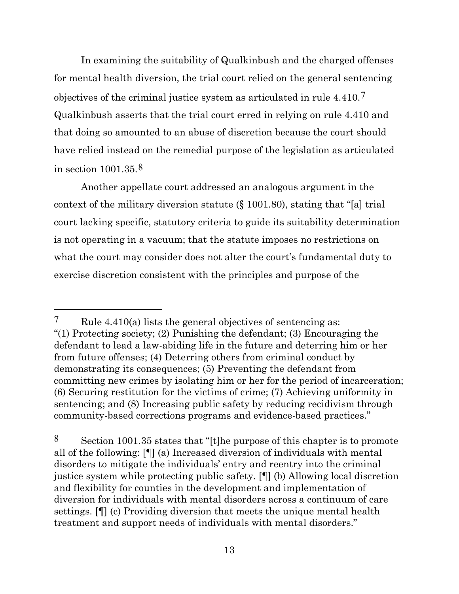In examining the suitability of Qualkinbush and the charged offenses for mental health diversion, the trial court relied on the general sentencing objectives of the criminal justice system as articulated in rule 4.410.<sup>[7](#page-12-0)</sup> Qualkinbush asserts that the trial court erred in relying on rule 4.410 and that doing so amounted to an abuse of discretion because the court should have relied instead on the remedial purpose of the legislation as articulated in section 1001.35.[8](#page-12-1)

Another appellate court addressed an analogous argument in the context of the military diversion statute (§ 1001.80), stating that "[a] trial court lacking specific, statutory criteria to guide its suitability determination is not operating in a vacuum; that the statute imposes no restrictions on what the court may consider does not alter the court's fundamental duty to exercise discretion consistent with the principles and purpose of the

<span id="page-12-1"></span>8 Section 1001.35 states that "[t]he purpose of this chapter is to promote all of the following: [¶] (a) Increased diversion of individuals with mental disorders to mitigate the individuals' entry and reentry into the criminal justice system while protecting public safety. [¶] (b) Allowing local discretion and flexibility for counties in the development and implementation of diversion for individuals with mental disorders across a continuum of care settings. [¶] (c) Providing diversion that meets the unique mental health treatment and support needs of individuals with mental disorders."

<span id="page-12-0"></span><sup>7</sup> Rule 4.410(a) lists the general objectives of sentencing as: "(1) Protecting society; (2) Punishing the defendant; (3) Encouraging the defendant to lead a law-abiding life in the future and deterring him or her from future offenses; (4) Deterring others from criminal conduct by demonstrating its consequences; (5) Preventing the defendant from committing new crimes by isolating him or her for the period of incarceration; (6) Securing restitution for the victims of crime; (7) Achieving uniformity in sentencing; and (8) Increasing public safety by reducing recidivism through community-based corrections programs and evidence-based practices."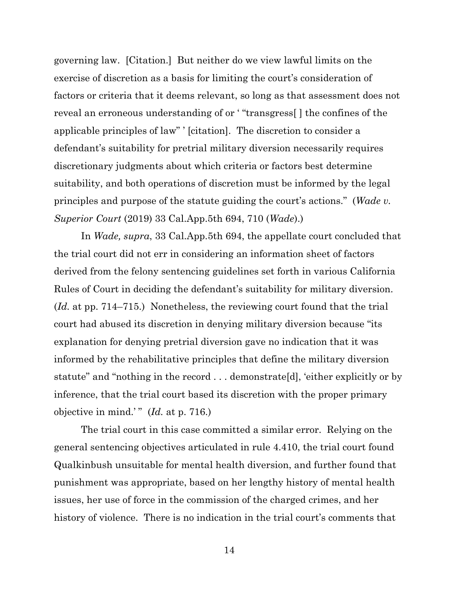governing law. [Citation.] But neither do we view lawful limits on the exercise of discretion as a basis for limiting the court's consideration of factors or criteria that it deems relevant, so long as that assessment does not reveal an erroneous understanding of or ' "transgress[ ] the confines of the applicable principles of law" ' [citation]. The discretion to consider a defendant's suitability for pretrial military diversion necessarily requires discretionary judgments about which criteria or factors best determine suitability, and both operations of discretion must be informed by the legal principles and purpose of the statute guiding the court's actions." (*Wade v. Superior Court* (2019) 33 Cal.App.5th 694, 710 (*Wade*).)

In *Wade, supra*, 33 Cal.App.5th 694, the appellate court concluded that the trial court did not err in considering an information sheet of factors derived from the felony sentencing guidelines set forth in various California Rules of Court in deciding the defendant's suitability for military diversion. (*Id.* at pp. 714–715.) Nonetheless, the reviewing court found that the trial court had abused its discretion in denying military diversion because "its explanation for denying pretrial diversion gave no indication that it was informed by the rehabilitative principles that define the military diversion statute" and "nothing in the record . . . demonstrate[d], 'either explicitly or by inference, that the trial court based its discretion with the proper primary objective in mind.' " (*Id.* at p. 716.)

The trial court in this case committed a similar error. Relying on the general sentencing objectives articulated in rule 4.410, the trial court found Qualkinbush unsuitable for mental health diversion, and further found that punishment was appropriate, based on her lengthy history of mental health issues, her use of force in the commission of the charged crimes, and her history of violence. There is no indication in the trial court's comments that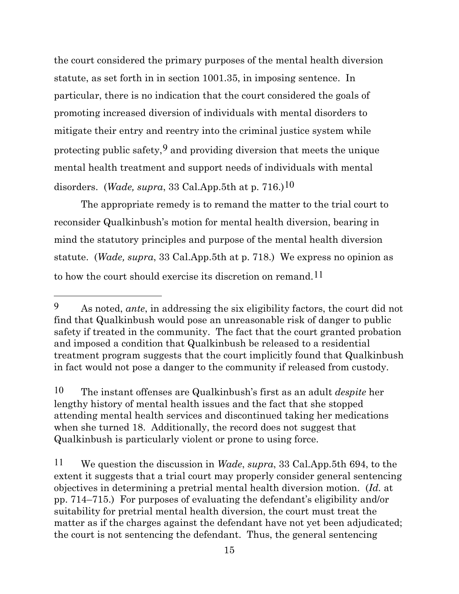the court considered the primary purposes of the mental health diversion statute, as set forth in in section 1001.35, in imposing sentence. In particular, there is no indication that the court considered the goals of promoting increased diversion of individuals with mental disorders to mitigate their entry and reentry into the criminal justice system while protecting public safety,  $9$  and providing diversion that meets the unique mental health treatment and support needs of individuals with mental disorders. (*Wade, supra*, 33 Cal.App.5th at p. 716.)[10](#page-14-1)

The appropriate remedy is to remand the matter to the trial court to reconsider Qualkinbush's motion for mental health diversion, bearing in mind the statutory principles and purpose of the mental health diversion statute. (*Wade, supra*, 33 Cal.App.5th at p. 718.) We express no opinion as to how the court should exercise its discretion on remand.[11](#page-14-2)

<span id="page-14-0"></span><sup>9</sup> As noted, *ante*, in addressing the six eligibility factors, the court did not find that Qualkinbush would pose an unreasonable risk of danger to public safety if treated in the community. The fact that the court granted probation and imposed a condition that Qualkinbush be released to a residential treatment program suggests that the court implicitly found that Qualkinbush in fact would not pose a danger to the community if released from custody.

<span id="page-14-1"></span><sup>10</sup> The instant offenses are Qualkinbush's first as an adult *despite* her lengthy history of mental health issues and the fact that she stopped attending mental health services and discontinued taking her medications when she turned 18. Additionally, the record does not suggest that Qualkinbush is particularly violent or prone to using force.

<span id="page-14-2"></span><sup>11</sup> We question the discussion in *Wade*, *supra*, 33 Cal.App.5th 694, to the extent it suggests that a trial court may properly consider general sentencing objectives in determining a pretrial mental health diversion motion. (*Id.* at pp. 714–715.) For purposes of evaluating the defendant's eligibility and/or suitability for pretrial mental health diversion, the court must treat the matter as if the charges against the defendant have not yet been adjudicated; the court is not sentencing the defendant. Thus, the general sentencing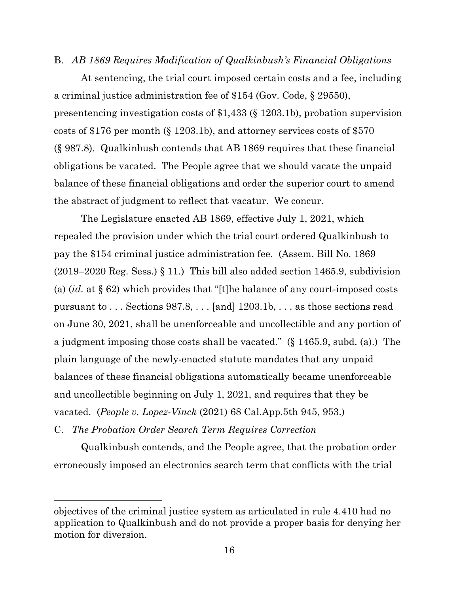## B. *AB 1869 Requires Modification of Qualkinbush's Financial Obligations*

At sentencing, the trial court imposed certain costs and a fee, including a criminal justice administration fee of \$154 (Gov. Code, § 29550), presentencing investigation costs of \$1,433 (§ 1203.1b), probation supervision costs of \$176 per month (§ 1203.1b), and attorney services costs of \$570 (§ 987.8). Qualkinbush contends that AB 1869 requires that these financial obligations be vacated. The People agree that we should vacate the unpaid balance of these financial obligations and order the superior court to amend the abstract of judgment to reflect that vacatur. We concur.

The Legislature enacted AB 1869, effective July 1, 2021, which repealed the provision under which the trial court ordered Qualkinbush to pay the \$154 criminal justice administration fee. (Assem. Bill No. 1869 (2019–2020 Reg. Sess.) § 11.) This bill also added section 1465.9, subdivision (a) (*id.* at § 62) which provides that "[t]he balance of any court-imposed costs pursuant to . . . Sections 987.8, . . . [and] 1203.1b, . . . as those sections read on June 30, 2021, shall be unenforceable and uncollectible and any portion of a judgment imposing those costs shall be vacated." (§ 1465.9, subd. (a).) The plain language of the newly-enacted statute mandates that any unpaid balances of these financial obligations automatically became unenforceable and uncollectible beginning on July 1, 2021, and requires that they be vacated. (*People v. Lopez-Vinck* (2021) 68 Cal.App.5th 945, 953.)

C. *The Probation Order Search Term Requires Correction*

Qualkinbush contends, and the People agree, that the probation order erroneously imposed an electronics search term that conflicts with the trial

objectives of the criminal justice system as articulated in rule 4.410 had no application to Qualkinbush and do not provide a proper basis for denying her motion for diversion.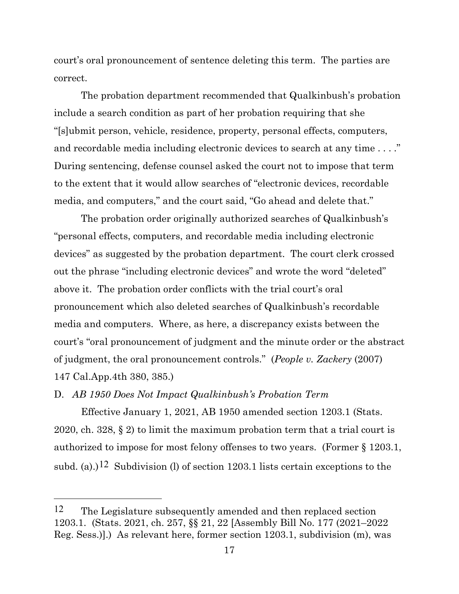court's oral pronouncement of sentence deleting this term. The parties are correct.

The probation department recommended that Qualkinbush's probation include a search condition as part of her probation requiring that she "[s]ubmit person, vehicle, residence, property, personal effects, computers, and recordable media including electronic devices to search at any time . . . ." During sentencing, defense counsel asked the court not to impose that term to the extent that it would allow searches of "electronic devices, recordable media, and computers," and the court said, "Go ahead and delete that."

The probation order originally authorized searches of Qualkinbush's "personal effects, computers, and recordable media including electronic devices" as suggested by the probation department. The court clerk crossed out the phrase "including electronic devices" and wrote the word "deleted" above it. The probation order conflicts with the trial court's oral pronouncement which also deleted searches of Qualkinbush's recordable media and computers. Where, as here, a discrepancy exists between the court's "oral pronouncement of judgment and the minute order or the abstract of judgment, the oral pronouncement controls." (*People v. Zackery* (2007) 147 Cal.App.4th 380, 385.)

D. *AB 1950 Does Not Impact Qualkinbush's Probation Term*

Effective January 1, 2021, AB 1950 amended section 1203.1 (Stats. 2020, ch. 328, § 2) to limit the maximum probation term that a trial court is authorized to impose for most felony offenses to two years. (Former § 1203.1, subd. (a).)<sup>[12](#page-16-0)</sup> Subdivision (l) of section 1203.1 lists certain exceptions to the

<span id="page-16-0"></span><sup>12</sup> The Legislature subsequently amended and then replaced section 1203.1. (Stats. 2021, ch. 257, §§ 21, 22 [Assembly Bill No. 177 (2021–2022 Reg. Sess.)].) As relevant here, former section 1203.1, subdivision (m), was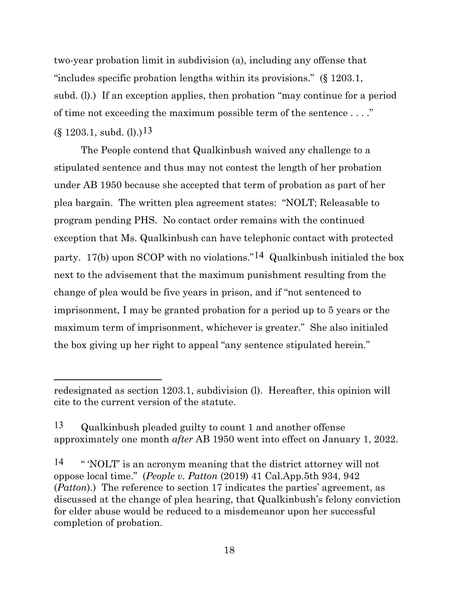two-year probation limit in subdivision (a), including any offense that "includes specific probation lengths within its provisions." (§ 1203.1, subd. (l).) If an exception applies, then probation "may continue for a period of time not exceeding the maximum possible term of the sentence . . . ."  $(\S 1203.1, \text{subd. (l)})^{13}$  $(\S 1203.1, \text{subd. (l)})^{13}$  $(\S 1203.1, \text{subd. (l)})^{13}$ 

The People contend that Qualkinbush waived any challenge to a stipulated sentence and thus may not contest the length of her probation under AB 1950 because she accepted that term of probation as part of her plea bargain. The written plea agreement states: "NOLT; Releasable to program pending PHS. No contact order remains with the continued exception that Ms. Qualkinbush can have telephonic contact with protected party. 17(b) upon SCOP with no violations."[14](#page-17-1) Qualkinbush initialed the box next to the advisement that the maximum punishment resulting from the change of plea would be five years in prison, and if "not sentenced to imprisonment, I may be granted probation for a period up to 5 years or the maximum term of imprisonment, whichever is greater." She also initialed the box giving up her right to appeal "any sentence stipulated herein."

redesignated as section 1203.1, subdivision (l). Hereafter, this opinion will cite to the current version of the statute.

<span id="page-17-0"></span><sup>13</sup> Qualkinbush pleaded guilty to count 1 and another offense approximately one month *after* AB 1950 went into effect on January 1, 2022.

<span id="page-17-1"></span><sup>14</sup> " 'NOLT' is an acronym meaning that the district attorney will not oppose local time." (*People v. Patton* (2019) 41 Cal.App.5th 934, 942 (*Patton*).) The reference to section 17 indicates the parties' agreement, as discussed at the change of plea hearing, that Qualkinbush's felony conviction for elder abuse would be reduced to a misdemeanor upon her successful completion of probation.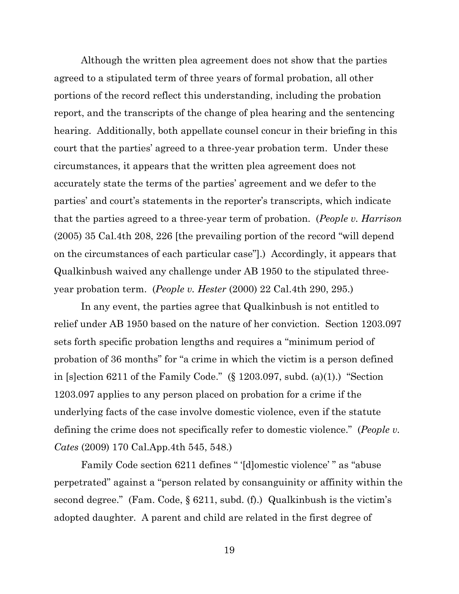Although the written plea agreement does not show that the parties agreed to a stipulated term of three years of formal probation, all other portions of the record reflect this understanding, including the probation report, and the transcripts of the change of plea hearing and the sentencing hearing. Additionally, both appellate counsel concur in their briefing in this court that the parties' agreed to a three-year probation term. Under these circumstances, it appears that the written plea agreement does not accurately state the terms of the parties' agreement and we defer to the parties' and court's statements in the reporter's transcripts, which indicate that the parties agreed to a three-year term of probation. (*People v. Harrison* (2005) 35 Cal.4th 208, 226 [the prevailing portion of the record "will depend on the circumstances of each particular case"].) Accordingly, it appears that Qualkinbush waived any challenge under AB 1950 to the stipulated threeyear probation term. (*People v. Hester* (2000) 22 Cal.4th 290, 295.)

In any event, the parties agree that Qualkinbush is not entitled to relief under AB 1950 based on the nature of her conviction. Section 1203.097 sets forth specific probation lengths and requires a "minimum period of probation of 36 months" for "a crime in which the victim is a person defined in [s]ection 6211 of the Family Code."  $(\S 1203.097, \text{subd. (a)(1)})$  "Section" 1203.097 applies to any person placed on probation for a crime if the underlying facts of the case involve domestic violence, even if the statute defining the crime does not specifically refer to domestic violence." (*People v. Cates* (2009) 170 Cal.App.4th 545, 548.)

Family Code section 6211 defines " '[d]omestic violence' " as "abuse perpetrated" against a "person related by consanguinity or affinity within the second degree." (Fam. Code,  $\S 6211$ , subd. (f).) Qualkinbush is the victim's adopted daughter. A parent and child are related in the first degree of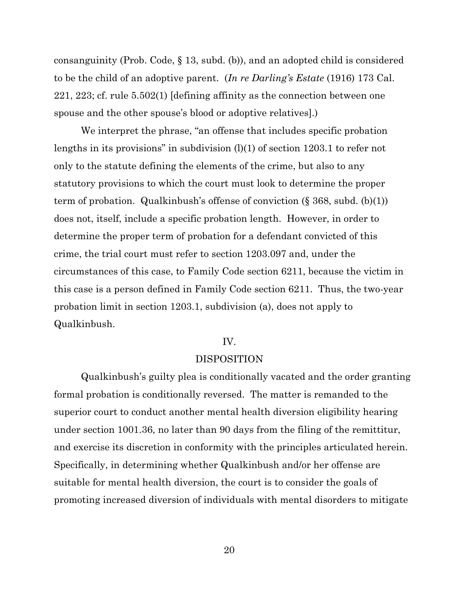consanguinity (Prob. Code, § 13, subd. (b)), and an adopted child is considered to be the child of an adoptive parent. (*In re Darling's Estate* (1916) 173 Cal. 221, 223; cf. rule 5.502(1) [defining affinity as the connection between one spouse and the other spouse's blood or adoptive relatives].)

We interpret the phrase, "an offense that includes specific probation lengths in its provisions" in subdivision (l)(1) of section 1203.1 to refer not only to the statute defining the elements of the crime, but also to any statutory provisions to which the court must look to determine the proper term of probation. Qualkinbush's offense of conviction  $(\S 368, \text{subd.} (b)(1))$ does not, itself, include a specific probation length. However, in order to determine the proper term of probation for a defendant convicted of this crime, the trial court must refer to section 1203.097 and, under the circumstances of this case, to Family Code section 6211, because the victim in this case is a person defined in Family Code section 6211. Thus, the two-year probation limit in section 1203.1, subdivision (a), does not apply to Qualkinbush.

## IV.

#### DISPOSITION

Qualkinbush's guilty plea is conditionally vacated and the order granting formal probation is conditionally reversed. The matter is remanded to the superior court to conduct another mental health diversion eligibility hearing under section 1001.36, no later than 90 days from the filing of the remittitur, and exercise its discretion in conformity with the principles articulated herein. Specifically, in determining whether Qualkinbush and/or her offense are suitable for mental health diversion, the court is to consider the goals of promoting increased diversion of individuals with mental disorders to mitigate